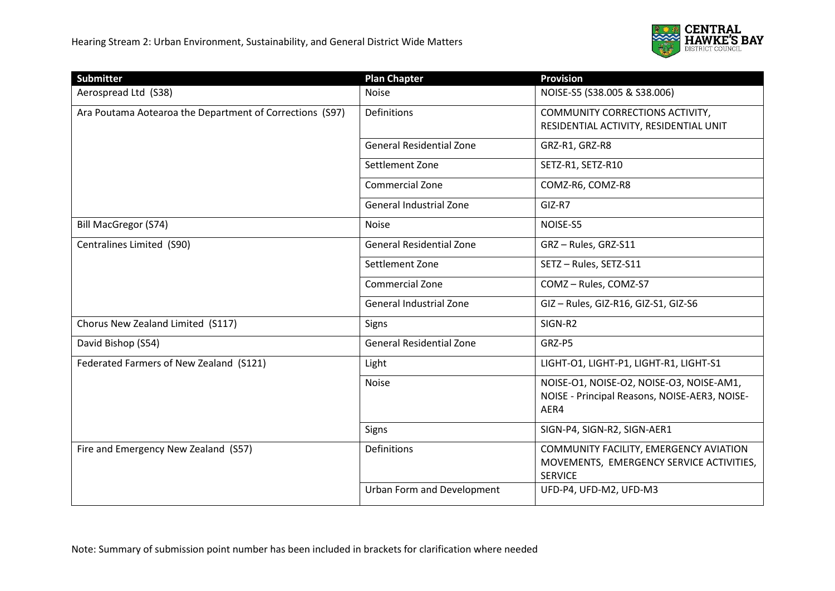

| <b>Submitter</b>                                         | <b>Plan Chapter</b>               | <b>Provision</b>                                                                                     |
|----------------------------------------------------------|-----------------------------------|------------------------------------------------------------------------------------------------------|
| Aerospread Ltd (S38)                                     | Noise                             | NOISE-S5 (S38.005 & S38.006)                                                                         |
| Ara Poutama Aotearoa the Department of Corrections (S97) | Definitions                       | COMMUNITY CORRECTIONS ACTIVITY,<br>RESIDENTIAL ACTIVITY, RESIDENTIAL UNIT                            |
|                                                          | <b>General Residential Zone</b>   | GRZ-R1, GRZ-R8                                                                                       |
|                                                          | Settlement Zone                   | SETZ-R1, SETZ-R10                                                                                    |
|                                                          | <b>Commercial Zone</b>            | COMZ-R6, COMZ-R8                                                                                     |
|                                                          | General Industrial Zone           | GIZ-R7                                                                                               |
| Bill MacGregor (S74)                                     | Noise                             | NOISE-S5                                                                                             |
| Centralines Limited (S90)                                | <b>General Residential Zone</b>   | GRZ-Rules, GRZ-S11                                                                                   |
|                                                          | Settlement Zone                   | SETZ-Rules, SETZ-S11                                                                                 |
|                                                          | Commercial Zone                   | COMZ - Rules, COMZ-S7                                                                                |
|                                                          | <b>General Industrial Zone</b>    | GIZ-Rules, GIZ-R16, GIZ-S1, GIZ-S6                                                                   |
| Chorus New Zealand Limited (S117)                        | Signs                             | SIGN-R2                                                                                              |
| David Bishop (S54)                                       | <b>General Residential Zone</b>   | GRZ-P5                                                                                               |
| Federated Farmers of New Zealand (S121)                  | Light                             | LIGHT-01, LIGHT-P1, LIGHT-R1, LIGHT-S1                                                               |
|                                                          | <b>Noise</b>                      | NOISE-01, NOISE-02, NOISE-03, NOISE-AM1,<br>NOISE - Principal Reasons, NOISE-AER3, NOISE-<br>AER4    |
|                                                          | Signs                             | SIGN-P4, SIGN-R2, SIGN-AER1                                                                          |
| Fire and Emergency New Zealand (S57)                     | Definitions                       | COMMUNITY FACILITY, EMERGENCY AVIATION<br>MOVEMENTS, EMERGENCY SERVICE ACTIVITIES,<br><b>SERVICE</b> |
|                                                          | <b>Urban Form and Development</b> | UFD-P4, UFD-M2, UFD-M3                                                                               |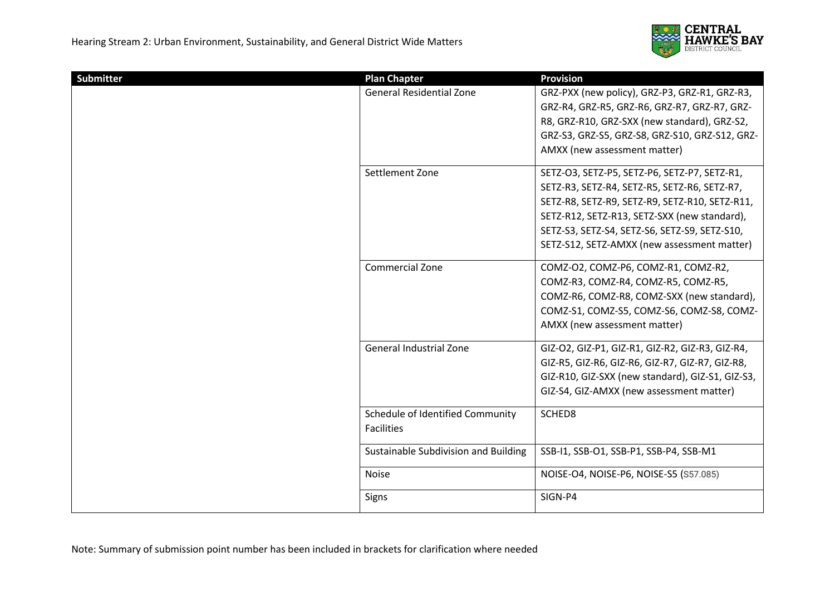

| Submitter | <b>Plan Chapter</b>                  | <b>Provision</b>                                 |
|-----------|--------------------------------------|--------------------------------------------------|
|           | <b>General Residential Zone</b>      | GRZ-PXX (new policy), GRZ-P3, GRZ-R1, GRZ-R3,    |
|           |                                      | GRZ-R4, GRZ-R5, GRZ-R6, GRZ-R7, GRZ-R7, GRZ-     |
|           |                                      | R8, GRZ-R10, GRZ-SXX (new standard), GRZ-S2,     |
|           |                                      | GRZ-S3, GRZ-S5, GRZ-S8, GRZ-S10, GRZ-S12, GRZ-   |
|           |                                      | AMXX (new assessment matter)                     |
|           | Settlement Zone                      | SETZ-O3, SETZ-P5, SETZ-P6, SETZ-P7, SETZ-R1,     |
|           |                                      | SETZ-R3, SETZ-R4, SETZ-R5, SETZ-R6, SETZ-R7,     |
|           |                                      | SETZ-R8, SETZ-R9, SETZ-R9, SETZ-R10, SETZ-R11,   |
|           |                                      | SETZ-R12, SETZ-R13, SETZ-SXX (new standard),     |
|           |                                      | SETZ-S3, SETZ-S4, SETZ-S6, SETZ-S9, SETZ-S10,    |
|           |                                      | SETZ-S12, SETZ-AMXX (new assessment matter)      |
|           | Commercial Zone                      | COMZ-O2, COMZ-P6, COMZ-R1, COMZ-R2,              |
|           |                                      | COMZ-R3, COMZ-R4, COMZ-R5, COMZ-R5,              |
|           |                                      | COMZ-R6, COMZ-R8, COMZ-SXX (new standard),       |
|           |                                      | COMZ-S1, COMZ-S5, COMZ-S6, COMZ-S8, COMZ-        |
|           |                                      | AMXX (new assessment matter)                     |
|           | General Industrial Zone              | GIZ-O2, GIZ-P1, GIZ-R1, GIZ-R2, GIZ-R3, GIZ-R4,  |
|           |                                      | GIZ-R5, GIZ-R6, GIZ-R6, GIZ-R7, GIZ-R7, GIZ-R8,  |
|           |                                      | GIZ-R10, GIZ-SXX (new standard), GIZ-S1, GIZ-S3, |
|           |                                      | GIZ-S4, GIZ-AMXX (new assessment matter)         |
|           | Schedule of Identified Community     | SCHED8                                           |
|           | <b>Facilities</b>                    |                                                  |
|           | Sustainable Subdivision and Building | SSB-I1, SSB-O1, SSB-P1, SSB-P4, SSB-M1           |
|           | <b>Noise</b>                         | NOISE-O4, NOISE-P6, NOISE-S5 (S57.085)           |
|           | Signs                                | SIGN-P4                                          |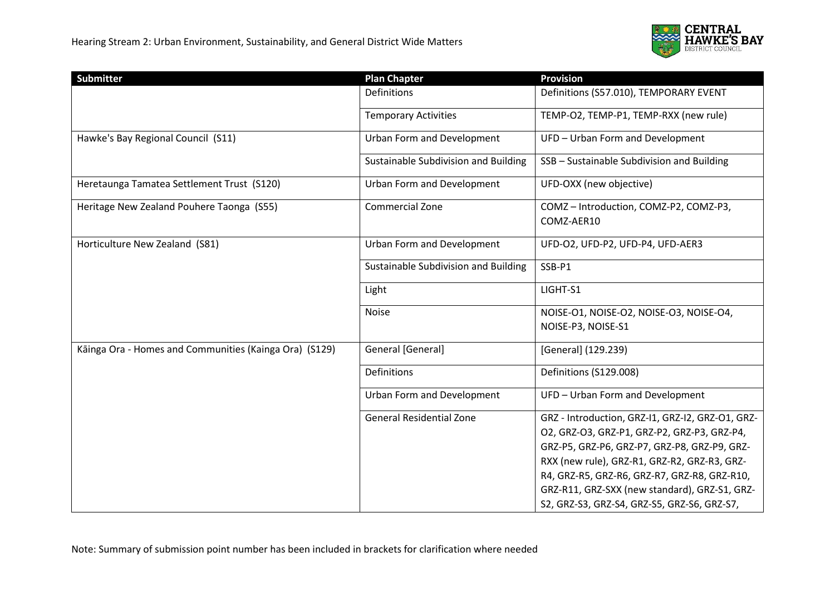

| Submitter                                              | <b>Plan Chapter</b>                  | <b>Provision</b>                                              |
|--------------------------------------------------------|--------------------------------------|---------------------------------------------------------------|
|                                                        | Definitions                          | Definitions (S57.010), TEMPORARY EVENT                        |
|                                                        | <b>Temporary Activities</b>          | TEMP-O2, TEMP-P1, TEMP-RXX (new rule)                         |
| Hawke's Bay Regional Council (S11)                     | Urban Form and Development           | UFD - Urban Form and Development                              |
|                                                        | Sustainable Subdivision and Building | SSB - Sustainable Subdivision and Building                    |
| Heretaunga Tamatea Settlement Trust (S120)             | Urban Form and Development           | UFD-OXX (new objective)                                       |
| Heritage New Zealand Pouhere Taonga (S55)              | Commercial Zone                      | COMZ-Introduction, COMZ-P2, COMZ-P3,<br>COMZ-AER10            |
| Horticulture New Zealand (S81)                         | Urban Form and Development           | UFD-O2, UFD-P2, UFD-P4, UFD-AER3                              |
|                                                        | Sustainable Subdivision and Building | SSB-P1                                                        |
|                                                        | Light                                | LIGHT-S1                                                      |
|                                                        | <b>Noise</b>                         | NOISE-01, NOISE-02, NOISE-03, NOISE-04,<br>NOISE-P3, NOISE-S1 |
| Kāinga Ora - Homes and Communities (Kainga Ora) (S129) | General [General]                    | [General] (129.239)                                           |
|                                                        | Definitions                          | Definitions (S129.008)                                        |
|                                                        | Urban Form and Development           | UFD - Urban Form and Development                              |
|                                                        | <b>General Residential Zone</b>      | GRZ - Introduction, GRZ-I1, GRZ-I2, GRZ-O1, GRZ-              |
|                                                        |                                      | O2, GRZ-O3, GRZ-P1, GRZ-P2, GRZ-P3, GRZ-P4,                   |
|                                                        |                                      | GRZ-P5, GRZ-P6, GRZ-P7, GRZ-P8, GRZ-P9, GRZ-                  |
|                                                        |                                      | RXX (new rule), GRZ-R1, GRZ-R2, GRZ-R3, GRZ-                  |
|                                                        |                                      | R4, GRZ-R5, GRZ-R6, GRZ-R7, GRZ-R8, GRZ-R10,                  |
|                                                        |                                      | GRZ-R11, GRZ-SXX (new standard), GRZ-S1, GRZ-                 |
|                                                        |                                      | S2, GRZ-S3, GRZ-S4, GRZ-S5, GRZ-S6, GRZ-S7,                   |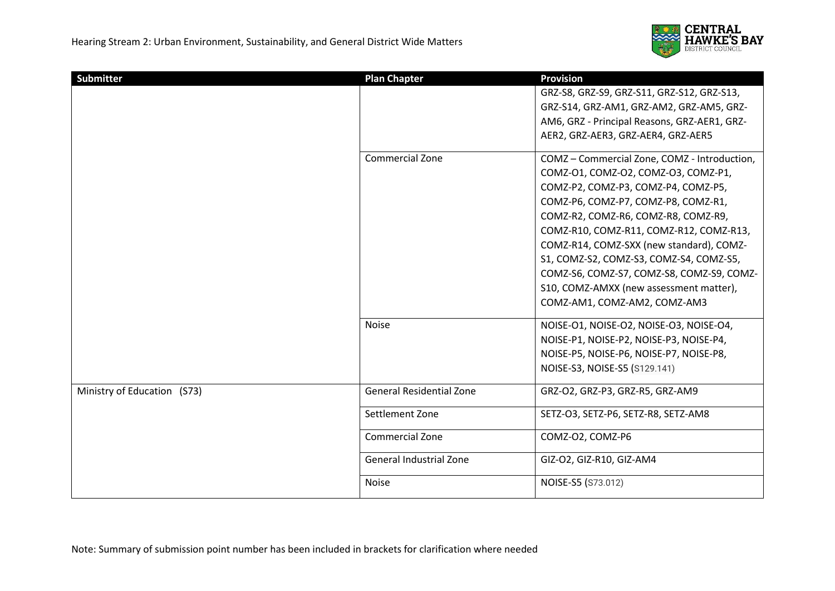

| Submitter                   | <b>Plan Chapter</b>             | <b>Provision</b>                             |
|-----------------------------|---------------------------------|----------------------------------------------|
|                             |                                 | GRZ-S8, GRZ-S9, GRZ-S11, GRZ-S12, GRZ-S13,   |
|                             |                                 | GRZ-S14, GRZ-AM1, GRZ-AM2, GRZ-AM5, GRZ-     |
|                             |                                 | AM6, GRZ - Principal Reasons, GRZ-AER1, GRZ- |
|                             |                                 | AER2, GRZ-AER3, GRZ-AER4, GRZ-AER5           |
|                             | Commercial Zone                 | COMZ - Commercial Zone, COMZ - Introduction, |
|                             |                                 | COMZ-01, COMZ-02, COMZ-03, COMZ-P1,          |
|                             |                                 | COMZ-P2, COMZ-P3, COMZ-P4, COMZ-P5,          |
|                             |                                 | COMZ-P6, COMZ-P7, COMZ-P8, COMZ-R1,          |
|                             |                                 | COMZ-R2, COMZ-R6, COMZ-R8, COMZ-R9,          |
|                             |                                 | COMZ-R10, COMZ-R11, COMZ-R12, COMZ-R13,      |
|                             |                                 | COMZ-R14, COMZ-SXX (new standard), COMZ-     |
|                             |                                 | S1, COMZ-S2, COMZ-S3, COMZ-S4, COMZ-S5,      |
|                             |                                 | COMZ-S6, COMZ-S7, COMZ-S8, COMZ-S9, COMZ-    |
|                             |                                 | S10, COMZ-AMXX (new assessment matter),      |
|                             |                                 | COMZ-AM1, COMZ-AM2, COMZ-AM3                 |
|                             | <b>Noise</b>                    | NOISE-01, NOISE-02, NOISE-03, NOISE-04,      |
|                             |                                 | NOISE-P1, NOISE-P2, NOISE-P3, NOISE-P4,      |
|                             |                                 | NOISE-P5, NOISE-P6, NOISE-P7, NOISE-P8,      |
|                             |                                 | NOISE-S3, NOISE-S5 (S129.141)                |
| Ministry of Education (S73) | <b>General Residential Zone</b> | GRZ-O2, GRZ-P3, GRZ-R5, GRZ-AM9              |
|                             | Settlement Zone                 | SETZ-O3, SETZ-P6, SETZ-R8, SETZ-AM8          |
|                             | <b>Commercial Zone</b>          | COMZ-O2, COMZ-P6                             |
|                             | <b>General Industrial Zone</b>  | GIZ-O2, GIZ-R10, GIZ-AM4                     |
|                             | <b>Noise</b>                    | NOISE-S5 (S73.012)                           |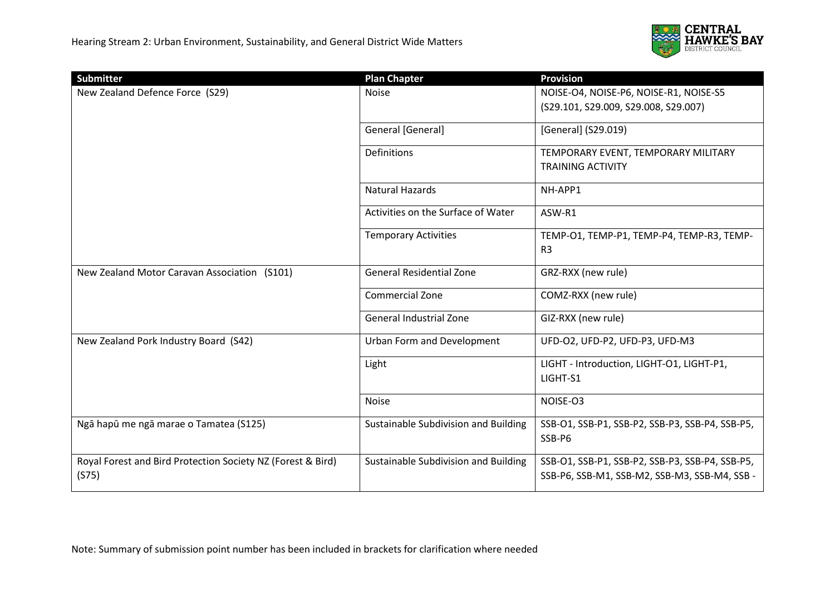

| <b>Submitter</b>                                                     | <b>Plan Chapter</b>                  | <b>Provision</b>                                                                                 |
|----------------------------------------------------------------------|--------------------------------------|--------------------------------------------------------------------------------------------------|
| New Zealand Defence Force (S29)                                      | <b>Noise</b>                         | NOISE-O4, NOISE-P6, NOISE-R1, NOISE-S5                                                           |
|                                                                      |                                      | (S29.101, S29.009, S29.008, S29.007)                                                             |
|                                                                      | General [General]                    | [General] (S29.019)                                                                              |
|                                                                      | <b>Definitions</b>                   | TEMPORARY EVENT, TEMPORARY MILITARY<br><b>TRAINING ACTIVITY</b>                                  |
|                                                                      | Natural Hazards                      | NH-APP1                                                                                          |
|                                                                      | Activities on the Surface of Water   | ASW-R1                                                                                           |
|                                                                      | <b>Temporary Activities</b>          | TEMP-01, TEMP-P1, TEMP-P4, TEMP-R3, TEMP-<br>R <sub>3</sub>                                      |
| New Zealand Motor Caravan Association (S101)                         | <b>General Residential Zone</b>      | GRZ-RXX (new rule)                                                                               |
|                                                                      | <b>Commercial Zone</b>               | COMZ-RXX (new rule)                                                                              |
|                                                                      | General Industrial Zone              | GIZ-RXX (new rule)                                                                               |
| New Zealand Pork Industry Board (S42)                                | Urban Form and Development           | UFD-O2, UFD-P2, UFD-P3, UFD-M3                                                                   |
|                                                                      | Light                                | LIGHT - Introduction, LIGHT-O1, LIGHT-P1,<br>LIGHT-S1                                            |
|                                                                      | <b>Noise</b>                         | NOISE-O3                                                                                         |
| Ngā hapū me ngā marae o Tamatea (S125)                               | Sustainable Subdivision and Building | SSB-O1, SSB-P1, SSB-P2, SSB-P3, SSB-P4, SSB-P5,<br>SSB-P6                                        |
| Royal Forest and Bird Protection Society NZ (Forest & Bird)<br>(S75) | Sustainable Subdivision and Building | SSB-O1, SSB-P1, SSB-P2, SSB-P3, SSB-P4, SSB-P5,<br>SSB-P6, SSB-M1, SSB-M2, SSB-M3, SSB-M4, SSB - |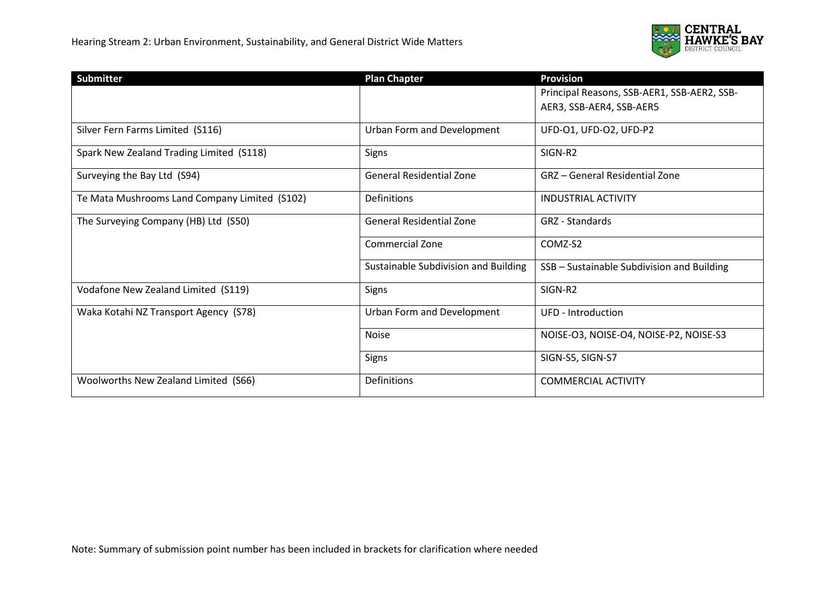

| <b>Submitter</b>                              | <b>Plan Chapter</b>                  | <b>Provision</b>                            |
|-----------------------------------------------|--------------------------------------|---------------------------------------------|
|                                               |                                      | Principal Reasons, SSB-AER1, SSB-AER2, SSB- |
|                                               |                                      | AER3, SSB-AER4, SSB-AER5                    |
|                                               |                                      |                                             |
| Silver Fern Farms Limited (S116)              | Urban Form and Development           | UFD-01, UFD-02, UFD-P2                      |
| Spark New Zealand Trading Limited (S118)      | Signs                                | SIGN-R2                                     |
| Surveying the Bay Ltd (S94)                   | <b>General Residential Zone</b>      | GRZ - General Residential Zone              |
| Te Mata Mushrooms Land Company Limited (S102) | Definitions                          | <b>INDUSTRIAL ACTIVITY</b>                  |
| The Surveying Company (HB) Ltd (S50)          | <b>General Residential Zone</b>      | <b>GRZ</b> - Standards                      |
|                                               | <b>Commercial Zone</b>               | COMZ-S2                                     |
|                                               | Sustainable Subdivision and Building | SSB - Sustainable Subdivision and Building  |
| Vodafone New Zealand Limited (S119)           | Signs                                | SIGN-R2                                     |
| Waka Kotahi NZ Transport Agency (S78)         | Urban Form and Development           | UFD - Introduction                          |
|                                               | <b>Noise</b>                         | NOISE-O3, NOISE-O4, NOISE-P2, NOISE-S3      |
|                                               | Signs                                | SIGN-S5, SIGN-S7                            |
| Woolworths New Zealand Limited (S66)          | Definitions                          | <b>COMMERCIAL ACTIVITY</b>                  |